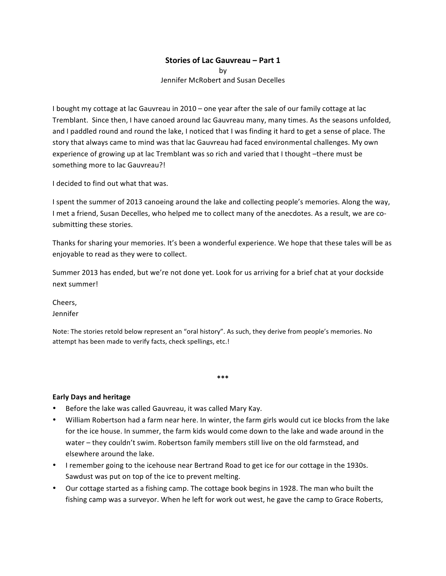### **Stories of Lac Gauvreau - Part 1**

by Jennifer McRobert and Susan Decelles

I bought my cottage at lac Gauvreau in  $2010 -$  one year after the sale of our family cottage at lac Tremblant. Since then, I have canoed around lac Gauvreau many, many times. As the seasons unfolded, and I paddled round and round the lake, I noticed that I was finding it hard to get a sense of place. The story that always came to mind was that lac Gauvreau had faced environmental challenges. My own experience of growing up at lac Tremblant was so rich and varied that I thought -there must be something more to lac Gauvreau?!

I decided to find out what that was.

I spent the summer of 2013 canoeing around the lake and collecting people's memories. Along the way, I met a friend, Susan Decelles, who helped me to collect many of the anecdotes. As a result, we are cosubmitting these stories.

Thanks for sharing your memories. It's been a wonderful experience. We hope that these tales will be as enjoyable to read as they were to collect.

Summer 2013 has ended, but we're not done yet. Look for us arriving for a brief chat at your dockside next summer!

Cheers, Jennifer

Note: The stories retold below represent an "oral history". As such, they derive from people's memories. No attempt has been made to verify facts, check spellings, etc.!

#### **Early Days and heritage**

- Before the lake was called Gauvreau, it was called Mary Kay.
- William Robertson had a farm near here. In winter, the farm girls would cut ice blocks from the lake for the ice house. In summer, the farm kids would come down to the lake and wade around in the water – they couldn't swim. Robertson family members still live on the old farmstead, and elsewhere around the lake.

**\*\*\***

- I remember going to the icehouse near Bertrand Road to get ice for our cottage in the 1930s. Sawdust was put on top of the ice to prevent melting.
- Our cottage started as a fishing camp. The cottage book begins in 1928. The man who built the fishing camp was a surveyor. When he left for work out west, he gave the camp to Grace Roberts,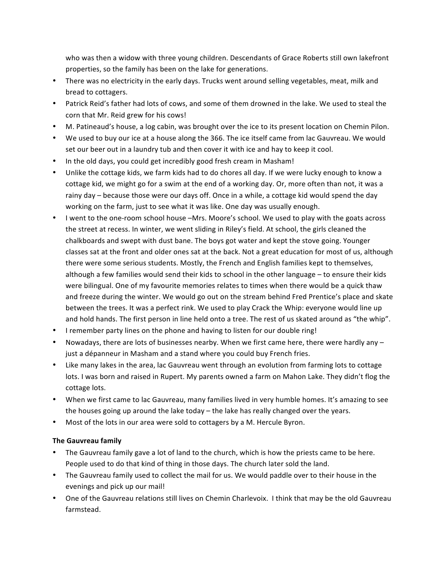who was then a widow with three young children. Descendants of Grace Roberts still own lakefront properties, so the family has been on the lake for generations.

- There was no electricity in the early days. Trucks went around selling vegetables, meat, milk and bread to cottagers.
- Patrick Reid's father had lots of cows, and some of them drowned in the lake. We used to steal the corn that Mr. Reid grew for his cows!
- M. Patineaud's house, a log cabin, was brought over the ice to its present location on Chemin Pilon.
- We used to buy our ice at a house along the 366. The ice itself came from lac Gauvreau. We would set our beer out in a laundry tub and then cover it with ice and hay to keep it cool.
- In the old days, you could get incredibly good fresh cream in Masham!
- Unlike the cottage kids, we farm kids had to do chores all day. If we were lucky enough to know a cottage kid, we might go for a swim at the end of a working day. Or, more often than not, it was a rainy day – because those were our days off. Once in a while, a cottage kid would spend the day working on the farm, just to see what it was like. One day was usually enough.
- I went to the one-room school house –Mrs. Moore's school. We used to play with the goats across the street at recess. In winter, we went sliding in Riley's field. At school, the girls cleaned the chalkboards and swept with dust bane. The boys got water and kept the stove going. Younger classes sat at the front and older ones sat at the back. Not a great education for most of us, although there were some serious students. Mostly, the French and English families kept to themselves, although a few families would send their kids to school in the other language – to ensure their kids were bilingual. One of my favourite memories relates to times when there would be a quick thaw and freeze during the winter. We would go out on the stream behind Fred Prentice's place and skate between the trees. It was a perfect rink. We used to play Crack the Whip: everyone would line up and hold hands. The first person in line held onto a tree. The rest of us skated around as "the whip".
- I remember party lines on the phone and having to listen for our double ring!
- Nowadays, there are lots of businesses nearby. When we first came here, there were hardly any  $$ just a dépanneur in Masham and a stand where you could buy French fries.
- Like many lakes in the area, lac Gauvreau went through an evolution from farming lots to cottage lots. I was born and raised in Rupert. My parents owned a farm on Mahon Lake. They didn't flog the cottage lots.
- When we first came to lac Gauvreau, many families lived in very humble homes. It's amazing to see the houses going up around the lake today  $-$  the lake has really changed over the years.
- Most of the lots in our area were sold to cottagers by a M. Hercule Byron.

# **The Gauvreau family**

- The Gauvreau family gave a lot of land to the church, which is how the priests came to be here. People used to do that kind of thing in those days. The church later sold the land.
- The Gauvreau family used to collect the mail for us. We would paddle over to their house in the evenings and pick up our mail!
- One of the Gauvreau relations still lives on Chemin Charlevoix. I think that may be the old Gauvreau farmstead.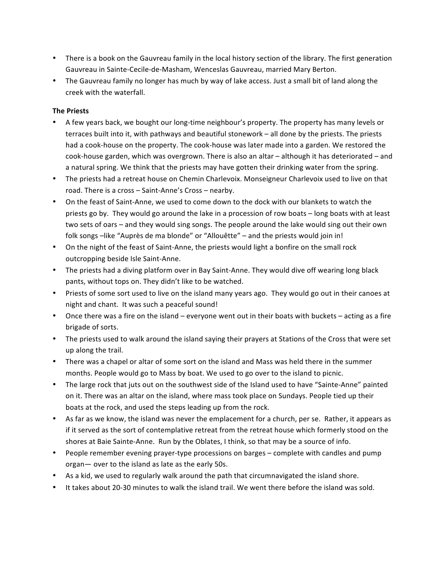- There is a book on the Gauvreau family in the local history section of the library. The first generation Gauvreau in Sainte-Cecile-de-Masham, Wenceslas Gauvreau, married Mary Berton.
- The Gauvreau family no longer has much by way of lake access. Just a small bit of land along the creek with the waterfall.

### **The Priests**

- A few years back, we bought our long-time neighbour's property. The property has many levels or  $terraces$  built into it, with pathways and beautiful stonework  $-$  all done by the priests. The priests had a cook-house on the property. The cook-house was later made into a garden. We restored the cook-house garden, which was overgrown. There is also an altar – although it has deteriorated – and a natural spring. We think that the priests may have gotten their drinking water from the spring.
- The priests had a retreat house on Chemin Charlevoix. Monseigneur Charlevoix used to live on that road. There is a cross - Saint-Anne's Cross - nearby.
- On the feast of Saint-Anne, we used to come down to the dock with our blankets to watch the priests go by. They would go around the lake in a procession of row boats – long boats with at least two sets of oars – and they would sing songs. The people around the lake would sing out their own folk songs -like "Auprès de ma blonde" or "Allouêtte" - and the priests would join in!
- On the night of the feast of Saint-Anne, the priests would light a bonfire on the small rock outcropping beside Isle Saint-Anne.
- The priests had a diving platform over in Bay Saint-Anne. They would dive off wearing long black pants, without tops on. They didn't like to be watched.
- Priests of some sort used to live on the island many years ago. They would go out in their canoes at night and chant. It was such a peaceful sound!
- Once there was a fire on the island everyone went out in their boats with buckets acting as a fire brigade of sorts.
- The priests used to walk around the island saying their prayers at Stations of the Cross that were set up along the trail.
- There was a chapel or altar of some sort on the island and Mass was held there in the summer months. People would go to Mass by boat. We used to go over to the island to picnic.
- The large rock that juts out on the southwest side of the Island used to have "Sainte-Anne" painted on it. There was an altar on the island, where mass took place on Sundays. People tied up their boats at the rock, and used the steps leading up from the rock.
- As far as we know, the island was never the emplacement for a church, per se. Rather, it appears as if it served as the sort of contemplative retreat from the retreat house which formerly stood on the shores at Baie Sainte-Anne. Run by the Oblates, I think, so that may be a source of info.
- People remember evening prayer-type processions on barges complete with candles and pump organ - over to the island as late as the early 50s.
- As a kid, we used to regularly walk around the path that circumnavigated the island shore.
- It takes about 20-30 minutes to walk the island trail. We went there before the island was sold.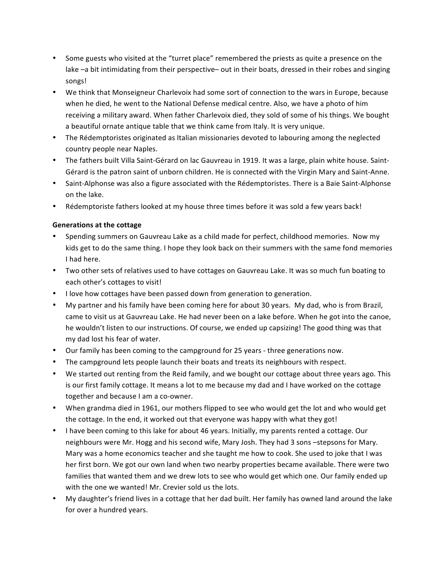- Some guests who visited at the "turret place" remembered the priests as quite a presence on the lake  $-a$  bit intimidating from their perspective– out in their boats, dressed in their robes and singing songs!
- We think that Monseigneur Charlevoix had some sort of connection to the wars in Europe, because when he died, he went to the National Defense medical centre. Also, we have a photo of him receiving a military award. When father Charlevoix died, they sold of some of his things. We bought a beautiful ornate antique table that we think came from Italy. It is very unique.
- The Rédemptoristes originated as Italian missionaries devoted to labouring among the neglected country people near Naples.
- The fathers built Villa Saint-Gérard on lac Gauvreau in 1919. It was a large, plain white house. Saint-Gérard is the patron saint of unborn children. He is connected with the Virgin Mary and Saint-Anne.
- Saint-Alphonse was also a figure associated with the Rédemptoristes. There is a Baie Saint-Alphonse on the lake.
- Rédemptoriste fathers looked at my house three times before it was sold a few years back!

# **Generations at the cottage**

- Spending summers on Gauvreau Lake as a child made for perfect, childhood memories. Now my kids get to do the same thing. I hope they look back on their summers with the same fond memories I had here.
- Two other sets of relatives used to have cottages on Gauvreau Lake. It was so much fun boating to each other's cottages to visit!
- I love how cottages have been passed down from generation to generation.
- My partner and his family have been coming here for about 30 years. My dad, who is from Brazil, came to visit us at Gauvreau Lake. He had never been on a lake before. When he got into the canoe, he wouldn't listen to our instructions. Of course, we ended up capsizing! The good thing was that my dad lost his fear of water.
- Our family has been coming to the campground for 25 years three generations now.
- The campground lets people launch their boats and treats its neighbours with respect.
- We started out renting from the Reid family, and we bought our cottage about three years ago. This is our first family cottage. It means a lot to me because my dad and I have worked on the cottage together and because I am a co-owner.
- When grandma died in 1961, our mothers flipped to see who would get the lot and who would get the cottage. In the end, it worked out that everyone was happy with what they got!
- I have been coming to this lake for about 46 years. Initially, my parents rented a cottage. Our neighbours were Mr. Hogg and his second wife, Mary Josh. They had 3 sons -stepsons for Mary. Mary was a home economics teacher and she taught me how to cook. She used to joke that I was her first born. We got our own land when two nearby properties became available. There were two families that wanted them and we drew lots to see who would get which one. Our family ended up with the one we wanted! Mr. Crevier sold us the lots.
- My daughter's friend lives in a cottage that her dad built. Her family has owned land around the lake for over a hundred years.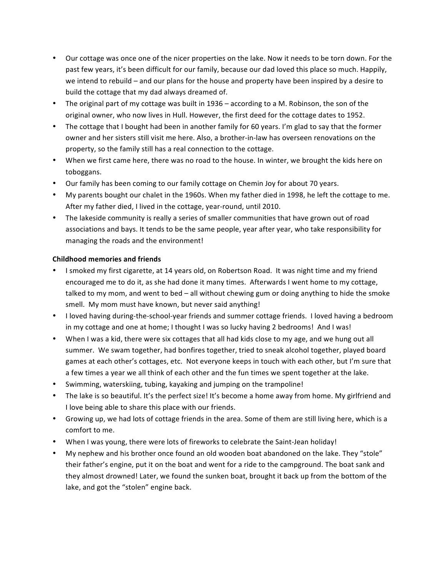- Our cottage was once one of the nicer properties on the lake. Now it needs to be torn down. For the past few years, it's been difficult for our family, because our dad loved this place so much. Happily, we intend to rebuild – and our plans for the house and property have been inspired by a desire to build the cottage that my dad always dreamed of.
- The original part of my cottage was built in 1936 according to a M. Robinson, the son of the original owner, who now lives in Hull. However, the first deed for the cottage dates to 1952.
- The cottage that I bought had been in another family for 60 years. I'm glad to say that the former owner and her sisters still visit me here. Also, a brother-in-law has overseen renovations on the property, so the family still has a real connection to the cottage.
- When we first came here, there was no road to the house. In winter, we brought the kids here on toboggans.
- Our family has been coming to our family cottage on Chemin Joy for about 70 years.
- My parents bought our chalet in the 1960s. When my father died in 1998, he left the cottage to me. After my father died, I lived in the cottage, year-round, until 2010.
- The lakeside community is really a series of smaller communities that have grown out of road associations and bays. It tends to be the same people, year after year, who take responsibility for managing the roads and the environment!

### **Childhood memories and friends**

- I smoked my first cigarette, at 14 years old, on Robertson Road. It was night time and my friend encouraged me to do it, as she had done it many times. Afterwards I went home to my cottage, talked to my mom, and went to bed - all without chewing gum or doing anything to hide the smoke smell. My mom must have known, but never said anything!
- I loved having during-the-school-year friends and summer cottage friends. I loved having a bedroom in my cottage and one at home; I thought I was so lucky having 2 bedrooms! And I was!
- When I was a kid, there were six cottages that all had kids close to my age, and we hung out all summer. We swam together, had bonfires together, tried to sneak alcohol together, played board games at each other's cottages, etc. Not everyone keeps in touch with each other, but I'm sure that a few times a year we all think of each other and the fun times we spent together at the lake.
- Swimming, waterskiing, tubing, kayaking and jumping on the trampoline!
- The lake is so beautiful. It's the perfect size! It's become a home away from home. My girlfriend and I love being able to share this place with our friends.
- Growing up, we had lots of cottage friends in the area. Some of them are still living here, which is a comfort to me.
- When I was young, there were lots of fireworks to celebrate the Saint-Jean holiday!
- My nephew and his brother once found an old wooden boat abandoned on the lake. They "stole" their father's engine, put it on the boat and went for a ride to the campground. The boat sank and they almost drowned! Later, we found the sunken boat, brought it back up from the bottom of the lake, and got the "stolen" engine back.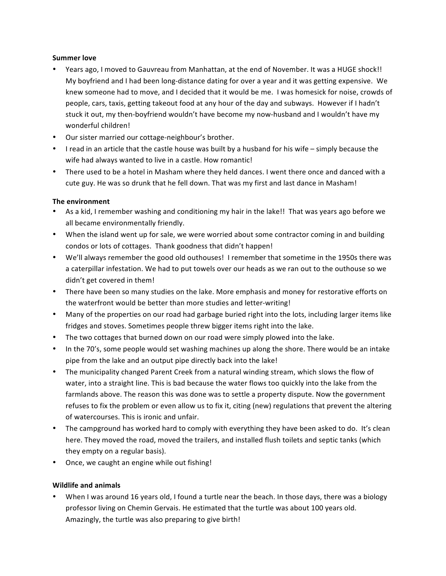### **Summer love**

- Years ago, I moved to Gauvreau from Manhattan, at the end of November. It was a HUGE shock!! My boyfriend and I had been long-distance dating for over a year and it was getting expensive. We knew someone had to move, and I decided that it would be me. I was homesick for noise, crowds of people, cars, taxis, getting takeout food at any hour of the day and subways. However if I hadn't stuck it out, my then-boyfriend wouldn't have become my now-husband and I wouldn't have my wonderful children!
- Our sister married our cottage-neighbour's brother.
- I read in an article that the castle house was built by a husband for his wife simply because the wife had always wanted to live in a castle. How romantic!
- There used to be a hotel in Masham where they held dances. I went there once and danced with a cute guy. He was so drunk that he fell down. That was my first and last dance in Masham!

### **The environment**

- As a kid, I remember washing and conditioning my hair in the lake!! That was years ago before we all became environmentally friendly.
- When the island went up for sale, we were worried about some contractor coming in and building condos or lots of cottages. Thank goodness that didn't happen!
- We'll always remember the good old outhouses! I remember that sometime in the 1950s there was a caterpillar infestation. We had to put towels over our heads as we ran out to the outhouse so we didn't get covered in them!
- There have been so many studies on the lake. More emphasis and money for restorative efforts on the waterfront would be better than more studies and letter-writing!
- Many of the properties on our road had garbage buried right into the lots, including larger items like fridges and stoves. Sometimes people threw bigger items right into the lake.
- The two cottages that burned down on our road were simply plowed into the lake.
- In the 70's, some people would set washing machines up along the shore. There would be an intake pipe from the lake and an output pipe directly back into the lake!
- The municipality changed Parent Creek from a natural winding stream, which slows the flow of water, into a straight line. This is bad because the water flows too quickly into the lake from the farmlands above. The reason this was done was to settle a property dispute. Now the government refuses to fix the problem or even allow us to fix it, citing (new) regulations that prevent the altering of watercourses. This is ironic and unfair.
- The campground has worked hard to comply with everything they have been asked to do. It's clean here. They moved the road, moved the trailers, and installed flush toilets and septic tanks (which they empty on a regular basis).
- Once, we caught an engine while out fishing!

### **Wildlife and animals**

When I was around 16 years old, I found a turtle near the beach. In those days, there was a biology professor living on Chemin Gervais. He estimated that the turtle was about 100 years old. Amazingly, the turtle was also preparing to give birth!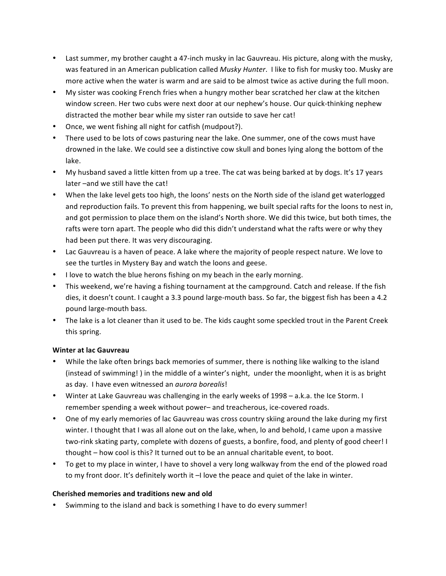- Last summer, my brother caught a 47-inch musky in lac Gauvreau. His picture, along with the musky, was featured in an American publication called *Musky Hunter*. I like to fish for musky too. Musky are more active when the water is warm and are said to be almost twice as active during the full moon.
- My sister was cooking French fries when a hungry mother bear scratched her claw at the kitchen window screen. Her two cubs were next door at our nephew's house. Our quick-thinking nephew distracted the mother bear while my sister ran outside to save her cat!
- Once, we went fishing all night for catfish (mudpout?).
- There used to be lots of cows pasturing near the lake. One summer, one of the cows must have drowned in the lake. We could see a distinctive cow skull and bones lying along the bottom of the lake.
- My husband saved a little kitten from up a tree. The cat was being barked at by dogs. It's 17 years later -and we still have the cat!
- When the lake level gets too high, the loons' nests on the North side of the island get waterlogged and reproduction fails. To prevent this from happening, we built special rafts for the loons to nest in, and got permission to place them on the island's North shore. We did this twice, but both times, the rafts were torn apart. The people who did this didn't understand what the rafts were or why they had been put there. It was very discouraging.
- Lac Gauvreau is a haven of peace. A lake where the majority of people respect nature. We love to see the turtles in Mystery Bay and watch the loons and geese.
- I love to watch the blue herons fishing on my beach in the early morning.
- This weekend, we're having a fishing tournament at the campground. Catch and release. If the fish dies, it doesn't count. I caught a 3.3 pound large-mouth bass. So far, the biggest fish has been a 4.2 pound large-mouth bass.
- The lake is a lot cleaner than it used to be. The kids caught some speckled trout in the Parent Creek this spring.

# **Winter at lac Gauvreau**

- While the lake often brings back memories of summer, there is nothing like walking to the island (instead of swimming!) in the middle of a winter's night, under the moonlight, when it is as bright as day. I have even witnessed an *aurora borealis*!
- Winter at Lake Gauvreau was challenging in the early weeks of 1998 a.k.a. the Ice Storm. I remember spending a week without power- and treacherous, ice-covered roads.
- One of my early memories of lac Gauvreau was cross country skiing around the lake during my first winter. I thought that I was all alone out on the lake, when, lo and behold, I came upon a massive two-rink skating party, complete with dozens of guests, a bonfire, food, and plenty of good cheer! I thought – how cool is this? It turned out to be an annual charitable event, to boot.
- To get to my place in winter, I have to shovel a very long walkway from the end of the plowed road to my front door. It's definitely worth it  $-1$  love the peace and quiet of the lake in winter.

# **Cherished memories and traditions new and old**

Swimming to the island and back is something I have to do every summer!